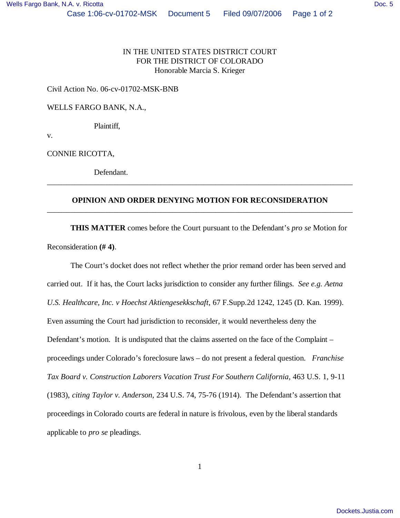## Civil Action No. 06-cv-01702-MSK-BNB

WELLS FARGO BANK, N.A.,

Plaintiff,

v.

CONNIE RICOTTA,

Defendant.

## **OPINION AND ORDER DENYING MOTION FOR RECONSIDERATION** \_\_\_\_\_\_\_\_\_\_\_\_\_\_\_\_\_\_\_\_\_\_\_\_\_\_\_\_\_\_\_\_\_\_\_\_\_\_\_\_\_\_\_\_\_\_\_\_\_\_\_\_\_\_\_\_\_\_\_\_\_\_\_\_\_\_\_\_\_\_\_\_\_\_\_\_\_\_

\_\_\_\_\_\_\_\_\_\_\_\_\_\_\_\_\_\_\_\_\_\_\_\_\_\_\_\_\_\_\_\_\_\_\_\_\_\_\_\_\_\_\_\_\_\_\_\_\_\_\_\_\_\_\_\_\_\_\_\_\_\_\_\_\_\_\_\_\_\_\_\_\_\_\_\_\_\_

**THIS MATTER** comes before the Court pursuant to the Defendant's *pro se* Motion for Reconsideration **(# 4)**.

The Court's docket does not reflect whether the prior remand order has been served and carried out. If it has, the Court lacks jurisdiction to consider any further filings. *See e.g. Aetna U.S. Healthcare, Inc. v Hoechst Aktiengesekkschaft*, 67 F.Supp.2d 1242, 1245 (D. Kan. 1999). Even assuming the Court had jurisdiction to reconsider, it would nevertheless deny the Defendant's motion. It is undisputed that the claims asserted on the face of the Complaint – proceedings under Colorado's foreclosure laws – do not present a federal question. *Franchise Tax Board v. Construction Laborers Vacation Trust For Southern California*, 463 U.S. 1, 9-11 (1983), *citing Taylor v. Anderson,* 234 U.S. 74, 75-76 (1914). The Defendant's assertion that proceedings in Colorado courts are federal in nature is frivolous, even by the liberal standards applicable to *pro se* pleadings.